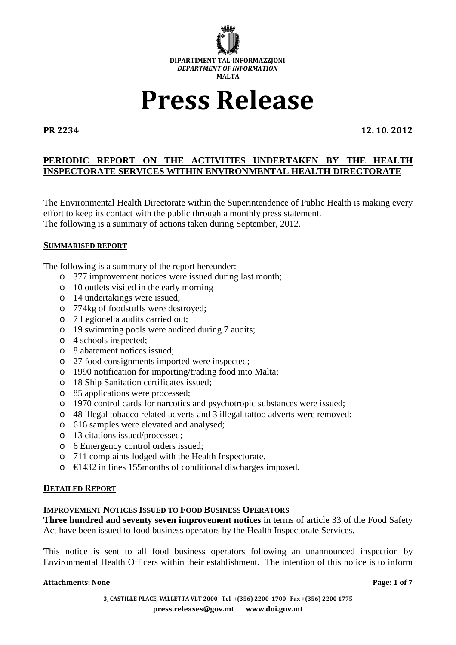

# Press Release

PR 2234 12. 10. 2012

# **PERIODIC REPORT ON THE ACTIVITIES UNDERTAKEN BY THE HEALTH INSPECTORATE SERVICES WITHIN ENVIRONMENTAL HEALTH DIRECTORATE**

The Environmental Health Directorate within the Superintendence of Public Health is making every effort to keep its contact with the public through a monthly press statement. The following is a summary of actions taken during September, 2012.

# **SUMMARISED REPORT**

The following is a summary of the report hereunder:

- o 377 improvement notices were issued during last month;
- o 10 outlets visited in the early morning
- o 14 undertakings were issued;
- o 774kg of foodstuffs were destroyed;
- o 7 Legionella audits carried out;
- o 19 swimming pools were audited during 7 audits;
- o 4 schools inspected;
- o 8 abatement notices issued;
- o 27 food consignments imported were inspected;
- o 1990 notification for importing/trading food into Malta;
- o 18 Ship Sanitation certificates issued;
- o 85 applications were processed;
- o 1970 control cards for narcotics and psychotropic substances were issued;
- o 48 illegal tobacco related adverts and 3 illegal tattoo adverts were removed;
- o 616 samples were elevated and analysed;
- o 13 citations issued/processed;
- o 6 Emergency control orders issued;
- o 711 complaints lodged with the Health Inspectorate.
- $\circ$   $\in$  1432 in fines 155 months of conditional discharges imposed.

# **DETAILED REPORT**

# **IMPROVEMENT NOTICES ISSUED TO FOOD BUSINESS OPERATORS**

**Three hundred and seventy seven improvement notices** in terms of article 33 of the Food Safety Act have been issued to food business operators by the Health Inspectorate Services.

This notice is sent to all food business operators following an unannounced inspection by Environmental Health Officers within their establishment. The intention of this notice is to inform

#### Attachments: None **Page: 1** of 7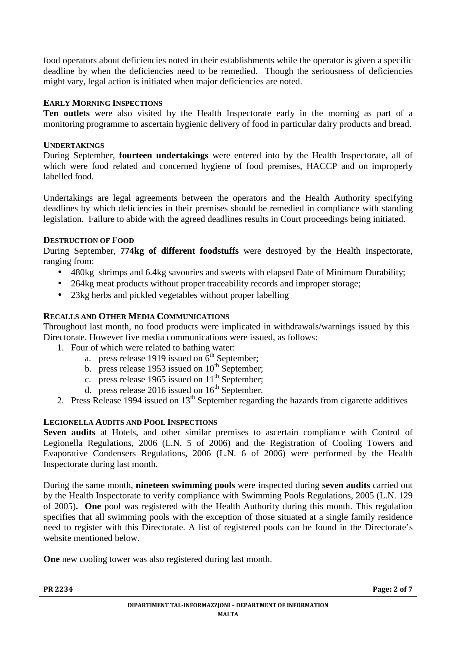food operators about deficiencies noted in their establishments while the operator is given a specific deadline by when the deficiencies need to be remedied. Though the seriousness of deficiencies might vary, legal action is initiated when major deficiencies are noted.

# **EARLY MORNING INSPECTIONS**

**Ten outlets** were also visited by the Health Inspectorate early in the morning as part of a monitoring programme to ascertain hygienic delivery of food in particular dairy products and bread.

# **UNDERTAKINGS**

During September, **fourteen undertakings** were entered into by the Health Inspectorate, all of which were food related and concerned hygiene of food premises, HACCP and on improperly labelled food.

Undertakings are legal agreements between the operators and the Health Authority specifying deadlines by which deficiencies in their premises should be remedied in compliance with standing legislation. Failure to abide with the agreed deadlines results in Court proceedings being initiated.

# **DESTRUCTION OF FOOD**

During September, **774kg of different foodstuffs** were destroyed by the Health Inspectorate, ranging from:

- 480kg shrimps and 6.4kg savouries and sweets with elapsed Date of Minimum Durability;
- 264kg meat products without proper traceability records and improper storage;
- 23kg herbs and pickled vegetables without proper labelling

# **RECALLS AND OTHER MEDIA COMMUNICATIONS**

Throughout last month, no food products were implicated in withdrawals/warnings issued by this Directorate. However five media communications were issued, as follows:

- 1. Four of which were related to bathing water:
	- a. press release 1919 issued on  $6<sup>th</sup>$  September;
	- b. press release 1953 issued on  $10^{th}$  September;
	- c. press release 1965 issued on  $11<sup>th</sup>$  September;
	- d. press release 2016 issued on  $16^{th}$  September.
- 2. Press Release 1994 issued on  $13<sup>th</sup>$  September regarding the hazards from cigarette additives

# **LEGIONELLA AUDITS AND POOL INSPECTIONS**

**Seven audits** at Hotels, and other similar premises to ascertain compliance with Control of Legionella Regulations, 2006 (L.N. 5 of 2006) and the Registration of Cooling Towers and Evaporative Condensers Regulations, 2006 (L.N. 6 of 2006) were performed by the Health Inspectorate during last month.

During the same month, **nineteen swimming pools** were inspected during **seven audits** carried out by the Health Inspectorate to verify compliance with Swimming Pools Regulations, 2005 (L.N. 129 of 2005)**. One** pool was registered with the Health Authority during this month. This regulation specifies that all swimming pools with the exception of those situated at a single family residence need to register with this Directorate. A list of registered pools can be found in the Directorate's website mentioned below.

**One** new cooling tower was also registered during last month.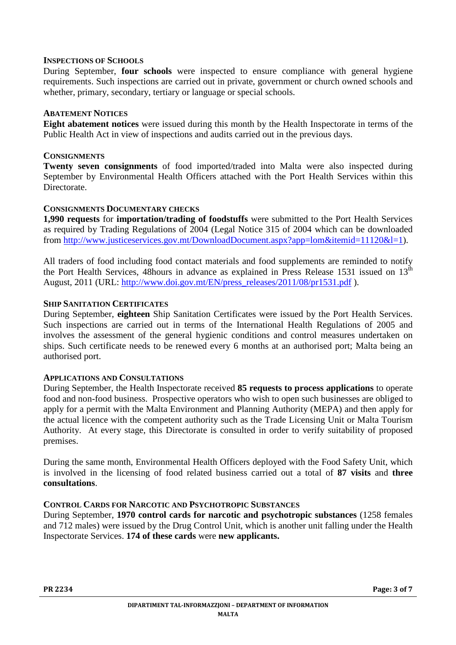#### **INSPECTIONS OF SCHOOLS**

During September, **four schools** were inspected to ensure compliance with general hygiene requirements. Such inspections are carried out in private, government or church owned schools and whether, primary, secondary, tertiary or language or special schools.

# **ABATEMENT NOTICES**

**Eight abatement notices** were issued during this month by the Health Inspectorate in terms of the Public Health Act in view of inspections and audits carried out in the previous days.

#### **CONSIGNMENTS**

**Twenty seven consignments** of food imported/traded into Malta were also inspected during September by Environmental Health Officers attached with the Port Health Services within this Directorate.

#### **CONSIGNMENTS DOCUMENTARY CHECKS**

**1,990 requests** for **importation/trading of foodstuffs** were submitted to the Port Health Services as required by Trading Regulations of 2004 (Legal Notice 315 of 2004 which can be downloaded from http://www.justiceservices.gov.mt/DownloadDocument.aspx?app=lom&itemid=11120&l=1).

All traders of food including food contact materials and food supplements are reminded to notify the Port Health Services, 48hours in advance as explained in Press Release 1531 issued on 13<sup>th</sup> August, 2011 (URL: http://www.doi.gov.mt/EN/press\_releases/2011/08/pr1531.pdf ).

#### **SHIP SANITATION CERTIFICATES**

During September, **eighteen** Ship Sanitation Certificates were issued by the Port Health Services. Such inspections are carried out in terms of the International Health Regulations of 2005 and involves the assessment of the general hygienic conditions and control measures undertaken on ships. Such certificate needs to be renewed every 6 months at an authorised port; Malta being an authorised port.

# **APPLICATIONS AND CONSULTATIONS**

During September, the Health Inspectorate received **85 requests to process applications** to operate food and non-food business. Prospective operators who wish to open such businesses are obliged to apply for a permit with the Malta Environment and Planning Authority (MEPA) and then apply for the actual licence with the competent authority such as the Trade Licensing Unit or Malta Tourism Authority. At every stage, this Directorate is consulted in order to verify suitability of proposed premises.

During the same month, Environmental Health Officers deployed with the Food Safety Unit, which is involved in the licensing of food related business carried out a total of **87 visits** and **three consultations**.

# **CONTROL CARDS FOR NARCOTIC AND PSYCHOTROPIC SUBSTANCES**

During September, **1970 control cards for narcotic and psychotropic substances** (1258 females and 712 males) were issued by the Drug Control Unit, which is another unit falling under the Health Inspectorate Services. **174 of these cards** were **new applicants.**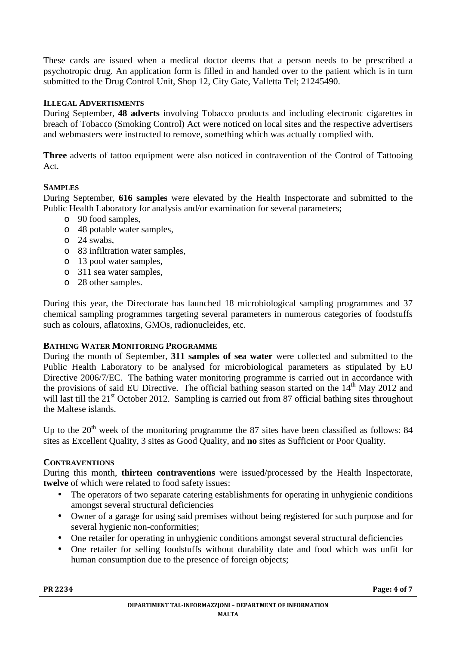These cards are issued when a medical doctor deems that a person needs to be prescribed a psychotropic drug. An application form is filled in and handed over to the patient which is in turn submitted to the Drug Control Unit, Shop 12, City Gate, Valletta Tel; 21245490.

# **ILLEGAL ADVERTISMENTS**

During September, **48 adverts** involving Tobacco products and including electronic cigarettes in breach of Tobacco (Smoking Control) Act were noticed on local sites and the respective advertisers and webmasters were instructed to remove, something which was actually complied with.

**Three** adverts of tattoo equipment were also noticed in contravention of the Control of Tattooing Act.

# **SAMPLES**

During September, **616 samples** were elevated by the Health Inspectorate and submitted to the Public Health Laboratory for analysis and/or examination for several parameters;

- o 90 food samples,
- o 48 potable water samples,
- o 24 swabs,
- o 83 infiltration water samples,
- o 13 pool water samples,
- o 311 sea water samples,
- o 28 other samples.

During this year, the Directorate has launched 18 microbiological sampling programmes and 37 chemical sampling programmes targeting several parameters in numerous categories of foodstuffs such as colours, aflatoxins, GMOs, radionucleides, etc.

# **BATHING WATER MONITORING PROGRAMME**

During the month of September, **311 samples of sea water** were collected and submitted to the Public Health Laboratory to be analysed for microbiological parameters as stipulated by EU Directive 2006/7/EC. The bathing water monitoring programme is carried out in accordance with the provisions of said EU Directive. The official bathing season started on the  $14<sup>th</sup>$  May 2012 and will last till the 21<sup>st</sup> October 2012. Sampling is carried out from 87 official bathing sites throughout the Maltese islands.

Up to the  $20<sup>th</sup>$  week of the monitoring programme the 87 sites have been classified as follows: 84 sites as Excellent Quality, 3 sites as Good Quality, and **no** sites as Sufficient or Poor Quality.

# **CONTRAVENTIONS**

During this month, **thirteen contraventions** were issued/processed by the Health Inspectorate, **twelve** of which were related to food safety issues:

- The operators of two separate catering establishments for operating in unhygienic conditions amongst several structural deficiencies
- Owner of a garage for using said premises without being registered for such purpose and for several hygienic non-conformities;
- One retailer for operating in unhygienic conditions amongst several structural deficiencies
- One retailer for selling foodstuffs without durability date and food which was unfit for human consumption due to the presence of foreign objects;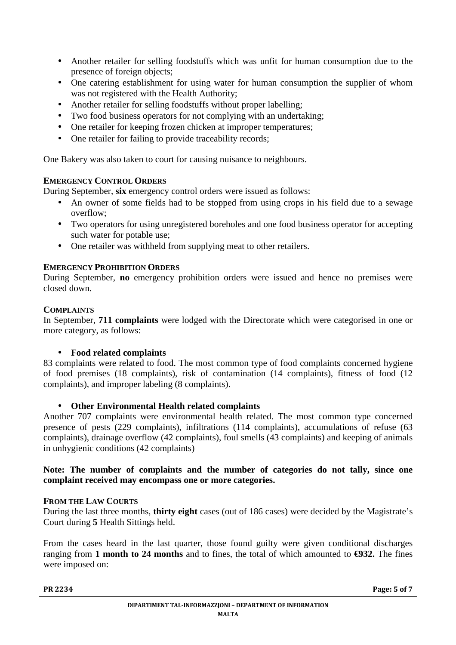- Another retailer for selling foodstuffs which was unfit for human consumption due to the presence of foreign objects;
- One catering establishment for using water for human consumption the supplier of whom was not registered with the Health Authority;
- Another retailer for selling foodstuffs without proper labelling;
- Two food business operators for not complying with an undertaking;
- One retailer for keeping frozen chicken at improper temperatures;
- One retailer for failing to provide traceability records:

One Bakery was also taken to court for causing nuisance to neighbours.

# **EMERGENCY CONTROL ORDERS**

During September, **six** emergency control orders were issued as follows:

- An owner of some fields had to be stopped from using crops in his field due to a sewage overflow;
- Two operators for using unregistered boreholes and one food business operator for accepting such water for potable use;
- One retailer was withheld from supplying meat to other retailers.

# **EMERGENCY PROHIBITION ORDERS**

During September, **no** emergency prohibition orders were issued and hence no premises were closed down.

# **COMPLAINTS**

In September, **711 complaints** were lodged with the Directorate which were categorised in one or more category, as follows:

# • **Food related complaints**

83 complaints were related to food. The most common type of food complaints concerned hygiene of food premises (18 complaints), risk of contamination (14 complaints), fitness of food (12 complaints), and improper labeling (8 complaints).

# • **Other Environmental Health related complaints**

Another 707 complaints were environmental health related. The most common type concerned presence of pests (229 complaints), infiltrations (114 complaints), accumulations of refuse (63 complaints), drainage overflow (42 complaints), foul smells (43 complaints) and keeping of animals in unhygienic conditions (42 complaints)

# **Note: The number of complaints and the number of categories do not tally, since one complaint received may encompass one or more categories.**

# **FROM THE LAW COURTS**

During the last three months, **thirty eight** cases (out of 186 cases) were decided by the Magistrate's Court during **5** Health Sittings held.

From the cases heard in the last quarter, those found guilty were given conditional discharges ranging from 1 month to 24 months and to fines, the total of which amounted to  $\epsilon$ 932. The fines were imposed on: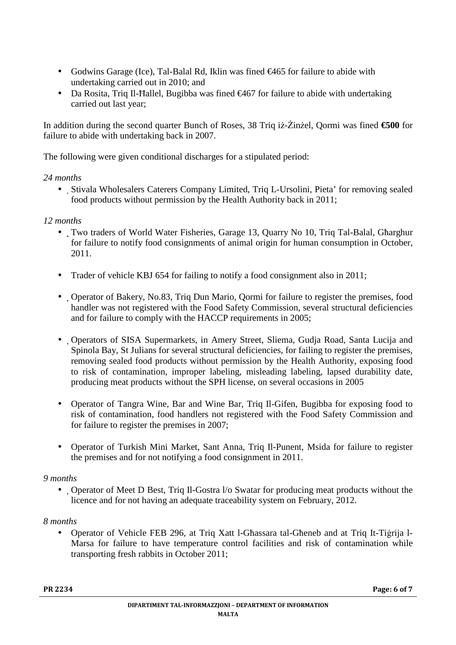- Godwins Garage (Ice), Tal-Balal Rd, Iklin was fined €465 for failure to abide with undertaking carried out in 2010; and
- Da Rosita, Triq Il-Hallel, Bugibba was fined  $\epsilon$ 467 for failure to abide with undertaking carried out last year;

In addition during the second quarter Bunch of Roses, 38 Triq iż-Żinżel, Qormi was fined €500 for failure to abide with undertaking back in 2007.

The following were given conditional discharges for a stipulated period:

# *24 months*

• Stivala Wholesalers Caterers Company Limited, Triq L-Ursolini, Pieta' for removing sealed food products without permission by the Health Authority back in 2011;

# *12 months*

- Two traders of World Water Fisheries, Garage 13, Quarry No 10, Triq Tal-Balal, Għarghur for failure to notify food consignments of animal origin for human consumption in October, 2011.
- Trader of vehicle KBJ 654 for failing to notify a food consignment also in 2011;
- Operator of Bakery, No.83, Triq Dun Mario, Qormi for failure to register the premises, food handler was not registered with the Food Safety Commission, several structural deficiencies and for failure to comply with the HACCP requirements in 2005;
- Operators of SISA Supermarkets, in Amery Street, Sliema, Gudja Road, Santa Lucija and Spinola Bay, St Julians for several structural deficiencies, for failing to register the premises, removing sealed food products without permission by the Health Authority, exposing food to risk of contamination, improper labeling, misleading labeling, lapsed durability date, producing meat products without the SPH license, on several occasions in 2005
- Operator of Tangra Wine, Bar and Wine Bar, Triq Il-Gifen, Bugibba for exposing food to risk of contamination, food handlers not registered with the Food Safety Commission and for failure to register the premises in 2007;
- Operator of Turkish Mini Market, Sant Anna, Triq Il-Punent, Msida for failure to register the premises and for not notifying a food consignment in 2011.

# *9 months*

• Operator of Meet D Best, Triq Il-Gostra I/o Swatar for producing meat products without the licence and for not having an adequate traceability system on February, 2012.

# *8 months*

• Operator of Vehicle FEB 296, at Triq Xatt l-Għassara tal-Għeneb and at Triq It-Tiġrija l-Marsa for failure to have temperature control facilities and risk of contamination while transporting fresh rabbits in October 2011;